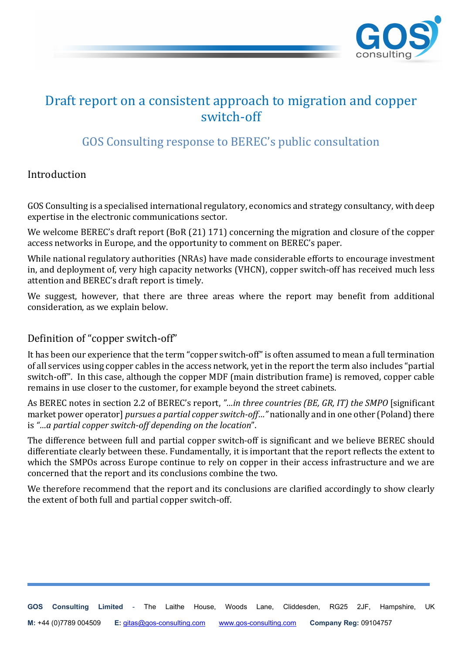

# Draft report on a consistent approach to migration and copper switch-off

# GOS Consulting response to BEREC's public consultation

## Introduction

GOS Consulting is a specialised international regulatory, economics and strategy consultancy, with deep expertise in the electronic communications sector.

We welcome BEREC's draft report (BoR (21) 171) concerning the migration and closure of the copper access networks in Europe, and the opportunity to comment on BEREC's paper.

While national regulatory authorities (NRAs) have made considerable efforts to encourage investment in, and deployment of, very high capacity networks (VHCN), copper switch-off has received much less attention and BEREC's draft report is timely.

We suggest, however, that there are three areas where the report may benefit from additional consideration, as we explain below.

### Definition of "copper switch-off"

It has been our experience that the term "copper switch-off" is often assumed to mean a full termination of all services using copper cables in the access network, yet in the report the term also includes "partial switch-off". In this case, although the copper MDF (main distribution frame) is removed, copper cable remains in use closer to the customer, for example beyond the street cabinets.

As BEREC notes in section 2.2 of BEREC's report, *"…in three countries (BE, GR, IT) the SMPO* [significant market power operator] *pursues a partial copper switch-off…"* nationally and in one other (Poland) there is *"…a partial copper switch-off depending on the location*".

The difference between full and partial copper switch-off is significant and we believe BEREC should differentiate clearly between these. Fundamentally, it is important that the report reflects the extent to which the SMPOs across Europe continue to rely on copper in their access infrastructure and we are concerned that the report and its conclusions combine the two.

We therefore recommend that the report and its conclusions are clarified accordingly to show clearly the extent of both full and partial copper switch-off.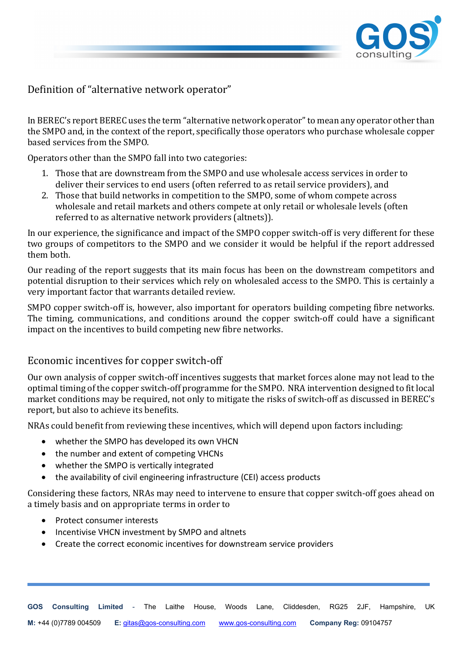

Definition of "alternative network operator"

In BEREC's report BEREC uses the term "alternative network operator" to mean any operator other than the SMPO and, in the context of the report, specifically those operators who purchase wholesale copper based services from the SMPO.

Operators other than the SMPO fall into two categories:

- 1. Those that are downstream from the SMPO and use wholesale access services in order to deliver their services to end users (often referred to as retail service providers), and
- 2. Those that build networks in competition to the SMPO, some of whom compete across wholesale and retail markets and others compete at only retail or wholesale levels (often referred to as alternative network providers (altnets)).

In our experience, the significance and impact of the SMPO copper switch-off is very different for these two groups of competitors to the SMPO and we consider it would be helpful if the report addressed them both.

Our reading of the report suggests that its main focus has been on the downstream competitors and potential disruption to their services which rely on wholesaled access to the SMPO. This is certainly a very important factor that warrants detailed review.

SMPO copper switch-off is, however, also important for operators building competing fibre networks. The timing, communications, and conditions around the copper switch-off could have a significant impact on the incentives to build competing new fibre networks.

#### Economic incentives for copper switch-off

Our own analysis of copper switch-off incentives suggests that market forces alone may not lead to the optimal timing of the copper switch-off programme for the SMPO. NRA intervention designed to fit local market conditions may be required, not only to mitigate the risks of switch-off as discussed in BEREC's report, but also to achieve its benefits.

NRAs could benefit from reviewing these incentives, which will depend upon factors including:

- whether the SMPO has developed its own VHCN
- the number and extent of competing VHCNs
- whether the SMPO is vertically integrated
- the availability of civil engineering infrastructure (CEI) access products

Considering these factors, NRAs may need to intervene to ensure that copper switch-off goes ahead on a timely basis and on appropriate terms in order to

- Protect consumer interests
- Incentivise VHCN investment by SMPO and altnets
- Create the correct economic incentives for downstream service providers